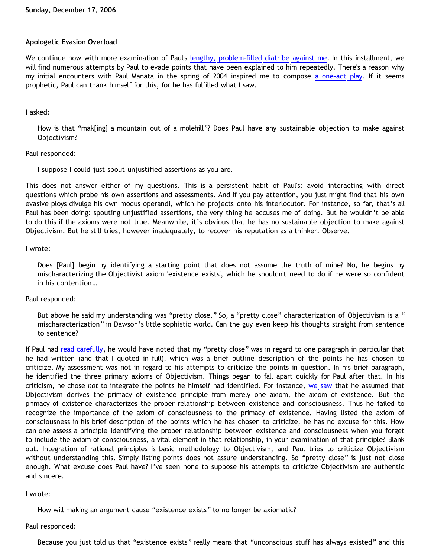### **Apologetic Evasion Overload**

We continue now with more examination of Paul's [lengthy, problem-filled diatribe against me.](http://triablogue.blogspot.com/2006/11/bethrick-burner.html) In this installment, we will find numerous attempts by Paul to evade points that have been explained to him repeatedly. There's a reason why my initial encounters with Paul Manata in the spring of 2004 inspired me to compose [a one-act play](http://www.geocities.com/katholon/evader.htm). If it seems prophetic, Paul can thank himself for this, for he has fulfilled what I saw.

### I asked:

How is that "mak[ing] a mountain out of a molehill"? Does Paul have any sustainable objection to make against Objectivism?

# Paul responded:

I suppose I could just spout unjustified assertions as you are.

This does not answer either of my questions. This is a persistent habit of Paul's: avoid interacting with direct questions which probe his own assertions and assessments. And if you pay attention, you just might find that his own evasive ploys divulge his own modus operandi, which he projects onto his interlocutor. For instance, so far, that's all Paul has been doing: spouting unjustified assertions, the very thing he accuses me of doing. But he wouldn't be able to do this if the axioms were not true. Meanwhile, it's obvious that he has no sustainable objection to make against Objectivism. But he still tries, however inadequately, to recover his reputation as a thinker. Observe.

# I wrote:

Does [Paul] begin by identifying a starting point that does not assume the truth of mine? No, he begins by mischaracterizing the Objectivist axiom 'existence exists', which he shouldn't need to do if he were so confident in his contention…

# Paul responded:

But above he said my understanding was "pretty close." So, a "pretty close" characterization of Objectivism is a " mischaracterization" in Dawson's little sophistic world. Can the guy even keep his thoughts straight from sentence to sentence?

If Paul had [read carefully,](http://bahnsenburner.blogspot.com/2006/10/those-delicate-christian-sensibilities.html) he would have noted that my "pretty close" was in regard to one paragraph in particular that he had written (and that I quoted in full), which was a brief outline description of the points he has chosen to criticize. My assessment was not in regard to his attempts to criticize the points in question. In his brief paragraph, he identified the three primary axioms of Objectivism. Things began to fall apart quickly for Paul after that. In his criticism, he chose *not* to integrate the points he himself had identified. For instance, [we saw](http://bahnsenburner.blogspot.com/2006/12/axioms-and-primacy-of-existence.html) that he assumed that Objectivism derives the primacy of existence principle from merely one axiom, the axiom of existence. But the primacy of existence characterizes the proper relationship between existence and consciousness. Thus he failed to recognize the importance of the axiom of consciousness to the primacy of existence. Having listed the axiom of consciousness in his brief description of the points which he has chosen to criticize, he has no excuse for this. How can one assess a principle identifying the proper relationship between existence and consciousness when you forget to include the axiom of consciousness, a vital element in that relationship, in your examination of that principle? Blank out. Integration of rational principles is basic methodology to Objectivism, and Paul tries to criticize Objectivism without understanding this. Simply listing points does not assure understanding. So "pretty close" is just not close enough. What excuse does Paul have? I've seen none to suppose his attempts to criticize Objectivism are authentic and sincere.

### I wrote:

How will making an argument cause "existence exists" to no longer be axiomatic?

### Paul responded:

Because you just told us that "existence exists" really means that "unconscious stuff has always existed" and this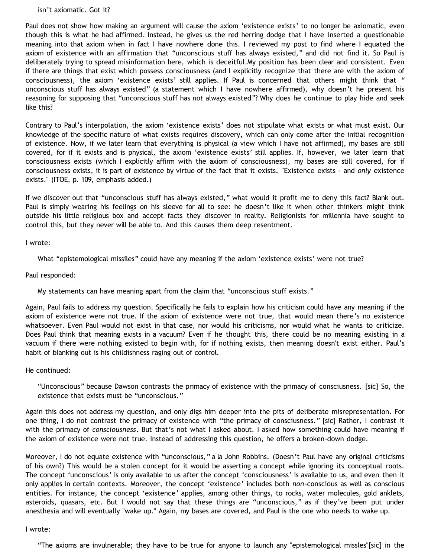#### isn't axiomatic. Got it?

Paul does not show how making an argument will cause the axiom 'existence exists' to no longer be axiomatic, even though this is what he had affirmed. Instead, he gives us the red herring dodge that I have inserted a questionable meaning into that axiom when in fact I have nowhere done this. I reviewed my post to find where I equated the axiom of existence with an affirmation that "unconscious stuff has always existed," and did not find it. So Paul is deliberately trying to spread misinformation here, which is deceitful.My position has been clear and consistent. Even if there are things that exist which possess consciousness (and I explicitly recognize that there are with the axiom of consciousness), the axiom 'existence exists' still applies. If Paul is concerned that others might think that " unconscious stuff has always existed" (a statement which I have nowhere affirmed), why doesn't he present his reasoning for supposing that "unconscious stuff has *not* always existed"? Why does he continue to play hide and seek like this?

Contrary to Paul's interpolation, the axiom 'existence exists' does not stipulate what exists or what must exist. Our knowledge of the specific nature of what exists requires discovery, which can only come after the initial recognition of existence. Now, if we later learn that everything is physical (a view which I have not affirmed), my bases are still covered, for if it exists and is physical, the axiom 'existence exists' still applies. If, however, we later learn that consciousness exists (which I explicitly affirm with the axiom of consciousness), my bases are still covered, for if consciousness exists, it is part of existence by virtue of the fact that it exists. "Existence exists - and *only* existence exists." (ITOE, p. 109, emphasis added.)

If we discover out that "unconscious stuff has always existed," what would it profit me to deny this fact? Blank out. Paul is simply wearing his feelings on his sleeve for all to see: he doesn't like it when other thinkers might think outside his little religious box and accept facts they discover in reality. Religionists for millennia have sought to control this, but they never will be able to. And this causes them deep resentment.

I wrote:

What "epistemological missiles" could have any meaning if the axiom 'existence exists' were not true?

Paul responded:

My statements can have meaning apart from the claim that "unconscious stuff exists."

Again, Paul fails to address my question. Specifically he fails to explain how his criticism could have any meaning if the axiom of existence were not true. If the axiom of existence were not true, that would mean there's no existence whatsoever. Even Paul would not exist in that case, nor would his criticisms, nor would what he wants to criticize. Does Paul think that meaning exists in a vacuum? Even if he thought this, there could be no meaning existing in a vacuum if there were nothing existed to begin with, for if nothing exists, then meaning doesn't exist either. Paul's habit of blanking out is his childishness raging out of control.

He continued:

"Unconscious" because Dawson contrasts the primacy of existence with the primacy of consciusness. [sic] So, the existence that exists must be "unconscious."

Again this does not address my question, and only digs him deeper into the pits of deliberate misrepresentation. For one thing, I do not contrast the primacy of existence with "the primacy of consciusness." [sic] Rather, I contrast it with the primacy of *consciousness*. But that's not what I asked about. I asked how something could have meaning if the axiom of existence were not true. Instead of addressing this question, he offers a broken-down dodge.

Moreover, I do not equate existence with "unconscious," a la John Robbins. (Doesn't Paul have any original criticisms of his own?) This would be a stolen concept for it would be asserting a concept while ignoring its conceptual roots. The concept 'unconscious' is only available to us after the concept 'consciousness' is available to us, and even then it only applies in certain contexts. Moreover, the concept 'existence' includes both *non*-conscious as well as conscious entities. For instance, the concept 'existence' applies, among other things, to rocks, water molecules, gold anklets, asteroids, quasars, etc. But I would not say that these things are "unconscious," as if they've been put under anesthesia and will eventually "wake up." Again, my bases are covered, and Paul is the one who needs to wake up.

### I wrote:

"The axioms are invulnerable; they have to be true for anyone to launch any "epistemological missles"[sic] in the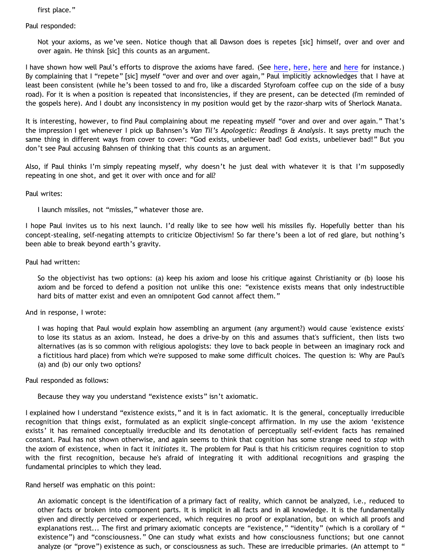first place."

Paul responded:

Not your axioms, as we've seen. Notice though that all Dawson does is repetes [sic] himself, over and over and over again. He thinsk [sic] this counts as an argument.

I have shown how well Paul's efforts to disprove the axioms have fared. (See [here,](http://bahnsenburner.blogspot.com/2006/12/axioms-and-primacy-of-existence.html) [here](http://bahnsenburner.blogspot.com/2006/12/reveling-in-reversals.html), here and here for instance.) By complaining that I "repete" [sic] myself "over and over and over again," Paul implicitly acknowledges that I have at least been consistent (while he's been tossed to and fro, like a discarded Styrofoam coffee cup on the side of a busy road). For it is when a position is repeated that inconsistencies, if they are present, can be detected (I'm reminded of the gospels here). And I doubt any inconsistency in my position would get by the razor-sharp wits of Sherlock Manata.

It is interesting, however, to find Paul complaining about me repeating myself "over and over and over again." That's the impression I get whenever I pick up Bahnsen's *Van Til's Apologetic: Readings & Analysis*. It says pretty much the same thing in different ways from cover to cover: "God exists, unbeliever bad! God exists, unbeliever bad!" But you don't see Paul accusing Bahnsen of thinking that this counts as an argument.

Also, if Paul thinks I'm simply repeating myself, why doesn't he just deal with whatever it is that I'm supposedly repeating in one shot, and get it over with once and for all?

### Paul writes:

I launch missiles, not "missles," whatever those are.

I hope Paul invites us to his next launch. I'd really like to see how well his missiles fly. Hopefully better than his concept-stealing, self-negating attempts to criticize Objectivism! So far there's been a lot of red glare, but nothing's been able to break beyond earth's gravity.

# Paul had written:

So the objectivist has two options: (a) keep his axiom and loose his critique against Christianity or (b) loose his axiom and be forced to defend a position not unlike this one: "existence exists means that only indestructible hard bits of matter exist and even an omnipotent God cannot affect them."

### And in response, I wrote:

I was hoping that Paul would explain how assembling an argument (any argument?) would cause 'existence exists' to lose its status as an axiom. Instead, he does a drive-by on this and assumes that's sufficient, then lists two alternatives (as is so common with religious apologists: they love to back people in between an imaginary rock and a fictitious hard place) from which we're supposed to make some difficult choices. The question is: Why are Paul's (a) and (b) our only two options?

### Paul responded as follows:

Because they way you understand "existence exists" isn't axiomatic.

I explained how I understand "existence exists," and it is in fact axiomatic. It is the general, conceptually irreducible recognition that things exist, formulated as an explicit single-concept affirmation. In my use the axiom 'existence exists' it has remained conceptually irreducible and its denotation of perceptually self-evident facts has remained constant. Paul has not shown otherwise, and again seems to think that cognition has some strange need to *stop* with the axiom of existence, when in fact it *initiates* it. The problem for Paul is that his criticism requires cognition to stop with the first recognition, because he's afraid of integrating it with additional recognitions and grasping the fundamental principles to which they lead.

### Rand herself was emphatic on this point:

An axiomatic concept is the identification of a primary fact of reality, which cannot be analyzed, i.e., reduced to other facts or broken into component parts. It is implicit in all facts and in all knowledge. It is the fundamentally given and directly perceived or experienced, which requires no proof or explanation, but on which all proofs and explanations rest... The first and primary axiomatic concepts are "existence," "identity" (which is a corollary of " existence") and "consciousness." One can study what exists and how consciousness functions; but one cannot analyze (or "prove") existence as such, or consciousness as such. These are irreducible primaries. (An attempt to "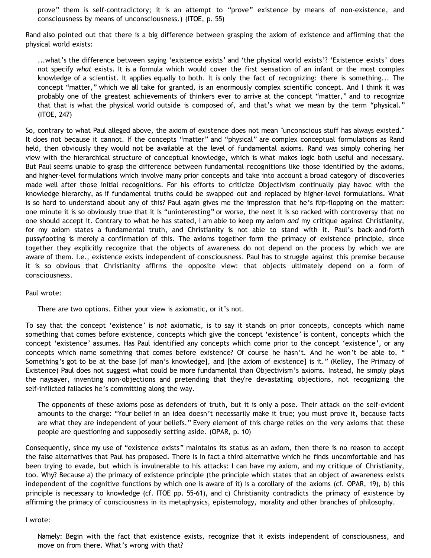prove" them is self-contradictory; it is an attempt to "prove" existence by means of non-existence, and consciousness by means of unconsciousness.) (ITOE, p. 55)

Rand also pointed out that there is a big difference between grasping the axiom of existence and affirming that the physical world exists:

...what's the difference between saying 'existence exists' and 'the physical world exists'? 'Existence exists' does not specify *what* exists. It is a formula which would cover the first sensation of an infant or the most complex knowledge of a scientist. It applies equally to both. It is only the fact of recognizing: there is something... The concept "matter," which we all take for granted, is an enormously complex scientific concept. And I think it was probably one of the greatest achievements of thinkers ever to arrive at the concept "matter," and to recognize that that is what the physical world outside is composed of, and that's what we mean by the term "physical." (ITOE, 247)

So, contrary to what Paul alleged above, the axiom of existence does not mean "unconscious stuff has always existed." It does not because it cannot. If the concepts "matter" and "physical" are complex conceptual formulations as Rand held, then obviously they would not be available at the level of fundamental axioms. Rand was simply cohering her view with the hierarchical structure of conceptual knowledge, which is what makes logic both useful and necessary. But Paul seems unable to grasp the difference between fundamental recognitions like those identified by the axioms, and higher-level formulations which involve many prior concepts and take into account a broad category of discoveries made well after those initial recognitions. For his efforts to criticize Objectivism continually play havoc with the knowledge hierarchy, as if fundamental truths could be swapped out and replaced by higher-level formulations. What is so hard to understand about any of this? Paul again gives me the impression that he's flip-flopping on the matter: one minute it is so obviously true that it is "uninteresting" or worse, the next it is so racked with controversy that no one should accept it. Contrary to what he has stated, I am able to keep my axiom *and* my critique against Christianity, for my axiom states a fundamental truth, and Christianity is not able to stand with it. Paul's back-and-forth pussyfooting is merely a confirmation of this. The axioms together form the primacy of existence principle, since together they explicitly recognize that the objects of awareness do not depend on the process by which we are aware of them. I.e., existence exists independent of consciousness. Paul has to struggle against this premise because it is so obvious that Christianity affirms the opposite view: that objects ultimately depend on a form of consciousness.

### Paul wrote:

There are two options. Either your view is axiomatic, or it's not.

To say that the concept 'existence' is *not* axiomatic, is to say it stands on prior concepts, concepts which name something that comes before existence, concepts which give the concept 'existence' is content, concepts which the concept 'existence' assumes. Has Paul identified any concepts which come prior to the concept 'existence', or any concepts which name something that comes before existence? Of course he hasn't. And he won't be able to. " Something's got to be at the base [of man's knowledge], and [the axiom of existence] is it." (Kelley, The Primacy of Existence) Paul does not suggest what could be more fundamental than Objectivism's axioms. Instead, he simply plays the naysayer, inventing non-objections and pretending that they're devastating objections, not recognizing the self-inflicted fallacies he's committing along the way.

The opponents of these axioms pose as defenders of truth, but it is only a pose. Their attack on the self-evident amounts to the charge: "Your belief in an idea doesn't necessarily make it true; you must prove it, because facts are what they are independent of your beliefs." Every element of this charge relies on the very axioms that these people are questioning and supposedly setting aside. (OPAR, p. 10)

Consequently, since my use of "existence exists" maintains its status as an axiom, then there is no reason to accept the false alternatives that Paul has proposed. There is in fact a third alternative which he finds uncomfortable and has been trying to evade, but which is invulnerable to his attacks: I can have my axiom, and my critique of Christianity, too. Why? Because a) the primacy of existence principle (the principle which states that an object of awareness exists independent of the cognitive functions by which one is aware of it) is a corollary of the axioms (cf. OPAR, 19), b) this principle is necessary to knowledge (cf. ITOE pp. 55-61), and c) Christianity contradicts the primacy of existence by affirming the primacy of consciousness in its metaphysics, epistemology, morality and other branches of philosophy.

#### I wrote:

Namely: Begin with the fact that existence exists, recognize that it exists independent of consciousness, and move on from there. What's wrong with that?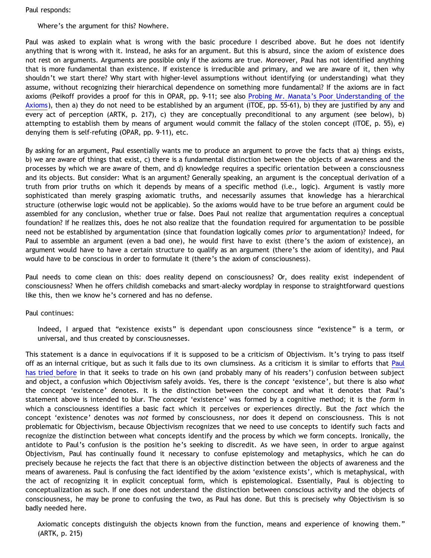Paul responds:

Where's the argument for this? Nowhere.

Paul was asked to explain what is wrong with the basic procedure I described above. But he does not identify anything that is wrong with it. Instead, he asks for an argument. But this is absurd, since the axiom of existence does not rest on arguments. Arguments are possible only if the axioms are true. Moreover, Paul has not identified anything that is more fundamental than existence. If existence is irreducible and primary, and we are aware of it, then why shouldn't we start there? Why start with higher-level assumptions without identifying (or understanding) what they assume, without recognizing their hierarchical dependence on something more fundamental? If the axioms are in fact axioms (Peikoff provides a proof for this in OPAR, pp. 9-11; see also [Probing Mr. Manata's Poor Understanding of the](http://bahnsenburner.blogspot.com/2005/10/probing-mr-manatas-poor-understanding.html) [Axioms](http://bahnsenburner.blogspot.com/2005/10/probing-mr-manatas-poor-understanding.html)), then a) they do not need to be established by an argument (ITOE, pp. 55-61), b) they are justified by any and every act of perception (ARTK, p. 217), c) they are conceptually preconditional to any argument (see below), b) attempting to establish them by means of argument would commit the fallacy of the stolen concept (ITOE, p. 55), e) denying them is self-refuting (OPAR, pp. 9-11), etc.

By asking for an argument, Paul essentially wants me to produce an argument to prove the facts that a) things exists, b) we are aware of things that exist, c) there is a fundamental distinction between the objects of awareness and the processes by which we are aware of them, and d) knowledge requires a specific orientation between a consciousness and its objects. But consider: What is an argument? Generally speaking, an argument is the conceptual derivation of a truth from prior truths on which it depends by means of a specific method (i.e., logic). Argument is vastly more sophisticated than merely grasping axiomatic truths, and necessarily assumes that knowledge has a hierarchical structure (otherwise logic would not be applicable). So the axioms would have to be true before an argument could be assembled for any conclusion, whether true or false. Does Paul not realize that argumentation requires a conceptual foundation? If he realizes this, does he not also realize that the foundation required for argumentation to be possible need not be established by argumentation (since that foundation logically comes *prior* to argumentation)? Indeed, for Paul to assemble an argument (even a bad one), he would first have to exist (there's the axiom of existence), an argument would have to have a certain structure to qualify as an argument (there's the axiom of identity), and Paul would have to be conscious in order to formulate it (there's the axiom of consciousness).

Paul needs to come clean on this: does reality depend on consciousness? Or, does reality exist independent of consciousness? When he offers childish comebacks and smart-alecky wordplay in response to straightforward questions like this, then we know he's cornered and has no defense.

Paul continues:

Indeed, I argued that "existence exists" is dependant upon consciousness since "existence" is a term, or universal, and thus created by consciousnesses.

This statement is a dance in equivocations if it is supposed to be a criticism of Objectivism. It's trying to pass itself off as an internal critique, but as such it fails due to its own clumsiness. As a criticism it is similar to efforts that [Paul](http://bahnsenburner.blogspot.com/2006/12/reveling-in-reversals.html) [has tried before](http://bahnsenburner.blogspot.com/2006/12/reveling-in-reversals.html) in that it seeks to trade on his own (and probably many of his readers') confusion between subject and object, a confusion which Objectivism safely avoids. Yes, there is the *concept* 'existence', but there is also *what* the concept 'existence' denotes. It is the distinction between the concept and what it denotes that Paul's statement above is intended to blur. The *concept* 'existence' was formed by a cognitive method; it is the *form* in which a consciousness identifies a basic fact which it perceives or experiences directly. But the *fact* which the concept 'existence' denotes was *not* formed by consciousness, nor does it depend on consciousness. This is not problematic for Objectivism, because Objectivism recognizes that we need to use concepts to identify such facts and recognize the distinction between what concepts identify and the process by which we form concepts. Ironically, the antidote to Paul's confusion is the position he's seeking to discredit. As we have seen, in order to argue against Objectivism, Paul has continually found it necessary to confuse epistemology and metaphysics, which he can do precisely because he rejects the fact that there is an objective distinction between the objects of awareness and the means of awareness. Paul is confusing the fact identified by the axiom 'existence exists', which is metaphysical, with the act of recognizing it in explicit conceptual form, which is epistemological. Essentially, Paul is objecting to conceptualization as such. If one does not understand the distinction between conscious activity and the objects of consciousness, he may be prone to confusing the two, as Paul has done. But this is precisely why Objectivism is so badly needed here.

Axiomatic concepts distinguish the objects known from the function, means and experience of knowing them." (ARTK, p. 215)